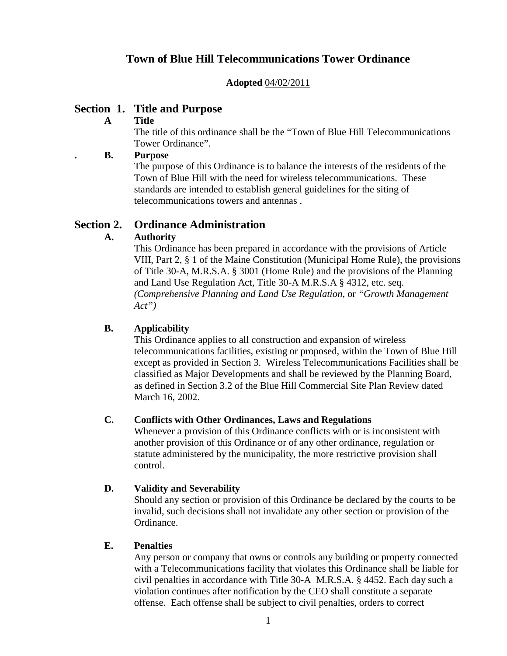# **Town of Blue Hill Telecommunications Tower Ordinance**

#### **Adopted** 04/02/2011

## **Section 1. Title and Purpose**

#### **A Title**

The title of this ordinance shall be the "Town of Blue Hill Telecommunications Tower Ordinance".

#### **. B. Purpose**

The purpose of this Ordinance is to balance the interests of the residents of the Town of Blue Hill with the need for wireless telecommunications. These standards are intended to establish general guidelines for the siting of telecommunications towers and antennas .

## **Section 2. Ordinance Administration**

## **A. Authority**

This Ordinance has been prepared in accordance with the provisions of Article VIII, Part 2, § 1 of the Maine Constitution (Municipal Home Rule), the provisions of Title 30-A, M.R.S.A. § 3001 (Home Rule) and the provisions of the Planning and Land Use Regulation Act, Title 30-A M.R.S.A § 4312, etc. seq. *(Comprehensive Planning and Land Use Regulation,* or *"Growth Management Act")*

## **B. Applicability**

This Ordinance applies to all construction and expansion of wireless telecommunications facilities, existing or proposed, within the Town of Blue Hill except as provided in Section 3. Wireless Telecommunications Facilities shall be classified as Major Developments and shall be reviewed by the Planning Board, as defined in Section 3.2 of the Blue Hill Commercial Site Plan Review dated March 16, 2002.

#### **C. Conflicts with Other Ordinances, Laws and Regulations**

Whenever a provision of this Ordinance conflicts with or is inconsistent with another provision of this Ordinance or of any other ordinance, regulation or statute administered by the municipality, the more restrictive provision shall control.

#### **D. Validity and Severability**

Should any section or provision of this Ordinance be declared by the courts to be invalid, such decisions shall not invalidate any other section or provision of the Ordinance.

#### **E. Penalties**

Any person or company that owns or controls any building or property connected with a Telecommunications facility that violates this Ordinance shall be liable for civil penalties in accordance with Title 30-A M.R.S.A. § 4452. Each day such a violation continues after notification by the CEO shall constitute a separate offense. Each offense shall be subject to civil penalties, orders to correct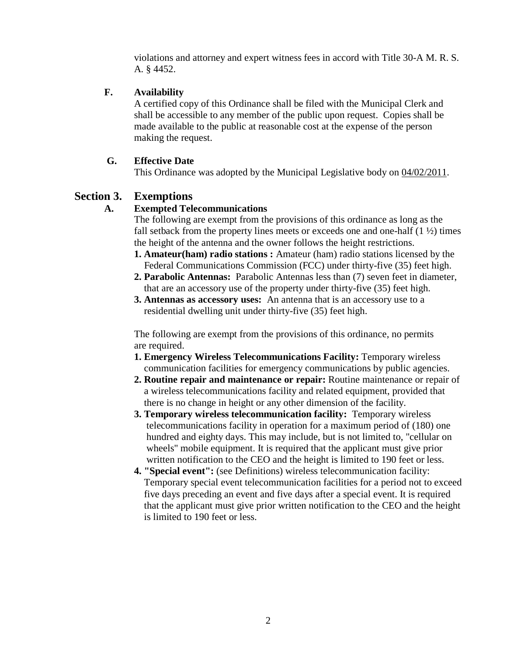violations and attorney and expert witness fees in accord with Title 30-A M. R. S. A. § 4452.

#### **F. Availability**

A certified copy of this Ordinance shall be filed with the Municipal Clerk and shall be accessible to any member of the public upon request. Copies shall be made available to the public at reasonable cost at the expense of the person making the request.

## **G. Effective Date**

This Ordinance was adopted by the Municipal Legislative body on 04/02/2011.

## **Section 3. Exemptions**

## **A. Exempted Telecommunications**

The following are exempt from the provisions of this ordinance as long as the fall setback from the property lines meets or exceeds one and one-half  $(1 \frac{1}{2})$  times the height of the antenna and the owner follows the height restrictions.

- **1. Amateur(ham) radio stations :** Amateur (ham) radio stations licensed by the Federal Communications Commission (FCC) under thirty-five (35) feet high.
- **2. Parabolic Antennas:** Parabolic Antennas less than (7) seven feet in diameter, that are an accessory use of the property under thirty-five (35) feet high.
- **3. Antennas as accessory uses:** An antenna that is an accessory use to a residential dwelling unit under thirty-five (35) feet high.

The following are exempt from the provisions of this ordinance, no permits are required.

- **1. Emergency Wireless Telecommunications Facility:** Temporary wireless communication facilities for emergency communications by public agencies.
- **2. Routine repair and maintenance or repair:** Routine maintenance or repair of a wireless telecommunications facility and related equipment, provided that there is no change in height or any other dimension of the facility.
- **3. Temporary wireless telecommunication facility:** Temporary wireless telecommunications facility in operation for a maximum period of (180) one hundred and eighty days. This may include, but is not limited to, "cellular on wheels" mobile equipment. It is required that the applicant must give prior written notification to the CEO and the height is limited to 190 feet or less.
- **4. "Special event":** (see Definitions) wireless telecommunication facility: Temporary special event telecommunication facilities for a period not to exceed five days preceding an event and five days after a special event. It is required that the applicant must give prior written notification to the CEO and the height is limited to 190 feet or less.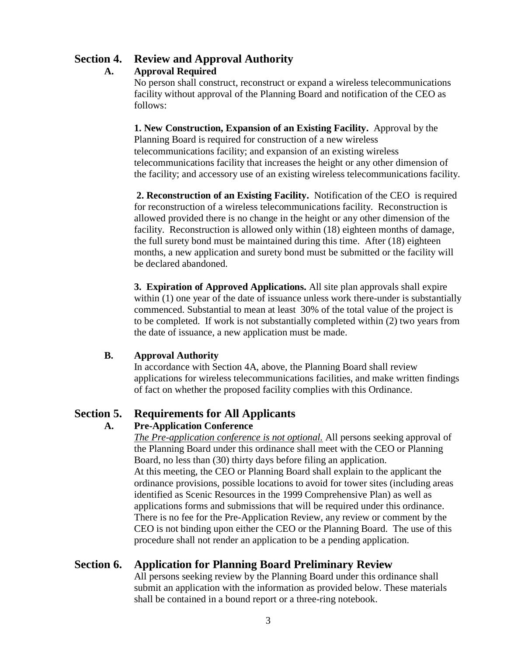# **Section 4. Review and Approval Authority**

#### **A. Approval Required**

No person shall construct, reconstruct or expand a wireless telecommunications facility without approval of the Planning Board and notification of the CEO as follows:

**1. New Construction, Expansion of an Existing Facility.** Approval by the Planning Board is required for construction of a new wireless telecommunications facility; and expansion of an existing wireless telecommunications facility that increases the height or any other dimension of the facility; and accessory use of an existing wireless telecommunications facility.

**2. Reconstruction of an Existing Facility.** Notification of the CEO is required for reconstruction of a wireless telecommunications facility. Reconstruction is allowed provided there is no change in the height or any other dimension of the facility. Reconstruction is allowed only within (18) eighteen months of damage, the full surety bond must be maintained during this time. After (18) eighteen months, a new application and surety bond must be submitted or the facility will be declared abandoned.

**3. Expiration of Approved Applications.** All site plan approvals shall expire within (1) one year of the date of issuance unless work there-under is substantially commenced. Substantial to mean at least 30% of the total value of the project is to be completed. If work is not substantially completed within (2) two years from the date of issuance, a new application must be made.

#### **B. Approval Authority**

In accordance with Section 4A, above, the Planning Board shall review applications for wireless telecommunications facilities, and make written findings of fact on whether the proposed facility complies with this Ordinance.

# **Section 5. Requirements for All Applicants**

## **A. Pre-Application Conference**

*The Pre-application conference is not optional.* All persons seeking approval of the Planning Board under this ordinance shall meet with the CEO or Planning Board, no less than (30) thirty days before filing an application. At this meeting, the CEO or Planning Board shall explain to the applicant the ordinance provisions, possible locations to avoid for tower sites (including areas identified as Scenic Resources in the 1999 Comprehensive Plan) as well as applications forms and submissions that will be required under this ordinance. There is no fee for the Pre-Application Review, any review or comment by the CEO is not binding upon either the CEO or the Planning Board. The use of this procedure shall not render an application to be a pending application.

# **Section 6. Application for Planning Board Preliminary Review**

All persons seeking review by the Planning Board under this ordinance shall submit an application with the information as provided below. These materials shall be contained in a bound report or a three-ring notebook.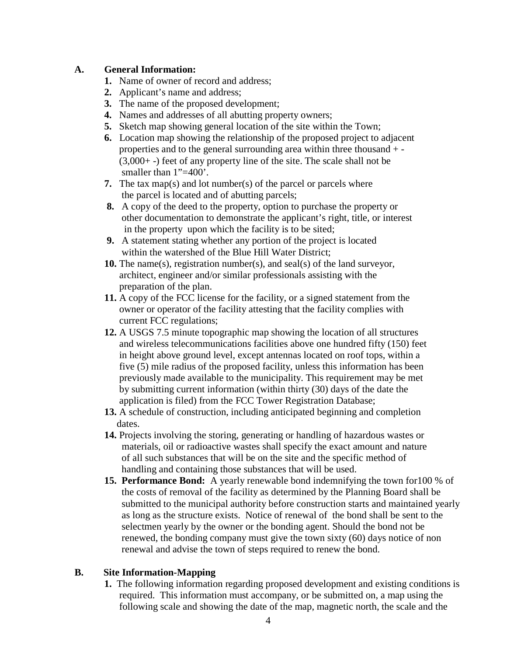#### **A. General Information:**

- **1.** Name of owner of record and address;
- **2.** Applicant's name and address;
- **3.** The name of the proposed development;
- **4.** Names and addresses of all abutting property owners;
- **5.** Sketch map showing general location of the site within the Town;
- **6.** Location map showing the relationship of the proposed project to adjacent properties and to the general surrounding area within three thousand + - (3,000+ -) feet of any property line of the site. The scale shall not be smaller than 1"=400".
- **7.** The tax map(s) and lot number(s) of the parcel or parcels where the parcel is located and of abutting parcels;
- **8.** A copy of the deed to the property, option to purchase the property or other documentation to demonstrate the applicant's right, title, or interest in the property upon which the facility is to be sited;
- **9.** A statement stating whether any portion of the project is located within the watershed of the Blue Hill Water District;
- **10.** The name(s), registration number(s), and seal(s) of the land surveyor, architect, engineer and/or similar professionals assisting with the preparation of the plan.
- **11.** A copy of the FCC license for the facility, or a signed statement from the owner or operator of the facility attesting that the facility complies with current FCC regulations;
- **12.** A USGS 7.5 minute topographic map showing the location of all structures and wireless telecommunications facilities above one hundred fifty (150) feet in height above ground level, except antennas located on roof tops, within a five (5) mile radius of the proposed facility, unless this information has been previously made available to the municipality. This requirement may be met by submitting current information (within thirty (30) days of the date the application is filed) from the FCC Tower Registration Database;
- **13.** A schedule of construction, including anticipated beginning and completion dates.
- **14.** Projects involving the storing, generating or handling of hazardous wastes or materials, oil or radioactive wastes shall specify the exact amount and nature of all such substances that will be on the site and the specific method of handling and containing those substances that will be used.
- **15. Performance Bond:** A yearly renewable bond indemnifying the town for100 % of the costs of removal of the facility as determined by the Planning Board shall be submitted to the municipal authority before construction starts and maintained yearly as long as the structure exists. Notice of renewal of the bond shall be sent to the selectmen yearly by the owner or the bonding agent. Should the bond not be renewed, the bonding company must give the town sixty (60) days notice of non renewal and advise the town of steps required to renew the bond.

## **B. Site Information-Mapping**

**1.** The following information regarding proposed development and existing conditions is required. This information must accompany, or be submitted on, a map using the following scale and showing the date of the map, magnetic north, the scale and the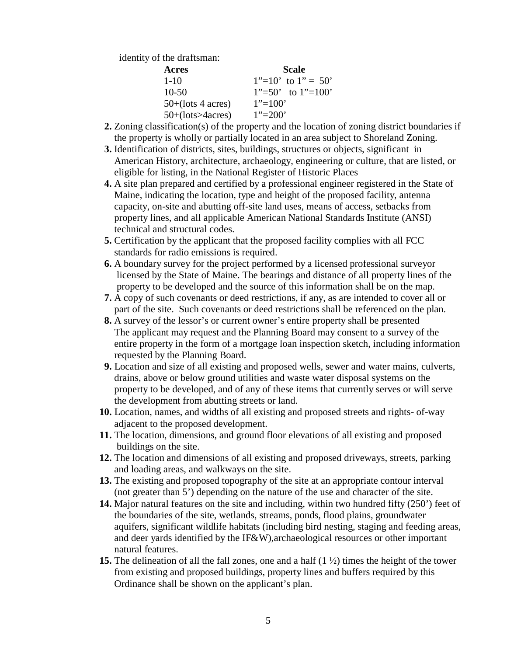identity of the draftsman:

| Acres                | <b>Scale</b>              |
|----------------------|---------------------------|
| $1 - 10$             | $1"=10'$ to $1"=50'$      |
| $10-50$              | $1" = 50'$ to $1" = 100'$ |
| $50+($ lots 4 acres) | $1" = 100"$               |
| $50+(lots>4 acres)$  | $1"=\!\approx\!200"$      |

- **2.** Zoning classification(s) of the property and the location of zoning district boundaries if the property is wholly or partially located in an area subject to Shoreland Zoning.
- **3.** Identification of districts, sites, buildings, structures or objects, significant in American History, architecture, archaeology, engineering or culture, that are listed, or eligible for listing, in the National Register of Historic Places
- **4.** A site plan prepared and certified by a professional engineer registered in the State of Maine, indicating the location, type and height of the proposed facility, antenna capacity, on-site and abutting off-site land uses, means of access, setbacks from property lines, and all applicable American National Standards Institute (ANSI) technical and structural codes.
- **5.** Certification by the applicant that the proposed facility complies with all FCC standards for radio emissions is required.
- **6.** A boundary survey for the project performed by a licensed professional surveyor licensed by the State of Maine. The bearings and distance of all property lines of the property to be developed and the source of this information shall be on the map.
- **7.** A copy of such covenants or deed restrictions, if any, as are intended to cover all or part of the site. Such covenants or deed restrictions shall be referenced on the plan.
- **8.** A survey of the lessor's or current owner's entire property shall be presented The applicant may request and the Planning Board may consent to a survey of the entire property in the form of a mortgage loan inspection sketch, including information requested by the Planning Board.
- **9.** Location and size of all existing and proposed wells, sewer and water mains, culverts, drains, above or below ground utilities and waste water disposal systems on the property to be developed, and of any of these items that currently serves or will serve the development from abutting streets or land.
- **10.** Location, names, and widths of all existing and proposed streets and rights- of-way adjacent to the proposed development.
- **11.** The location, dimensions, and ground floor elevations of all existing and proposed buildings on the site.
- **12.** The location and dimensions of all existing and proposed driveways, streets, parking and loading areas, and walkways on the site.
- **13.** The existing and proposed topography of the site at an appropriate contour interval (not greater than 5') depending on the nature of the use and character of the site.
- **14.** Major natural features on the site and including, within two hundred fifty (250') feet of the boundaries of the site, wetlands, streams, ponds, flood plains, groundwater aquifers, significant wildlife habitats (including bird nesting, staging and feeding areas, and deer yards identified by the IF&W),archaeological resources or other important natural features.
- **15.** The delineation of all the fall zones, one and a half (1 ½) times the height of the tower from existing and proposed buildings, property lines and buffers required by this Ordinance shall be shown on the applicant's plan.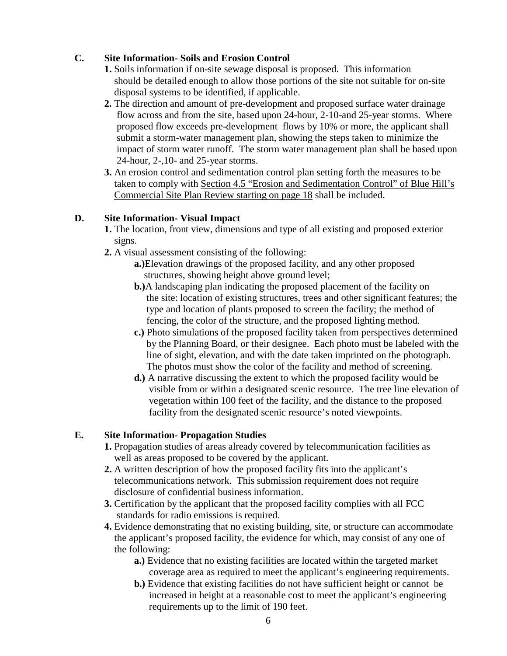## **C. Site Information- Soils and Erosion Control**

- **1.** Soils information if on-site sewage disposal is proposed. This information should be detailed enough to allow those portions of the site not suitable for on-site disposal systems to be identified, if applicable.
- **2.** The direction and amount of pre-development and proposed surface water drainage flow across and from the site, based upon 24-hour, 2-10-and 25-year storms. Where proposed flow exceeds pre-development flows by 10% or more, the applicant shall submit a storm-water management plan, showing the steps taken to minimize the impact of storm water runoff. The storm water management plan shall be based upon 24-hour, 2-,10- and 25-year storms.
- **3.** An erosion control and sedimentation control plan setting forth the measures to be taken to comply with Section 4.5 "Erosion and Sedimentation Control" of Blue Hill's Commercial Site Plan Review starting on page 18 shall be included.

## **D. Site Information- Visual Impact**

- **1.** The location, front view, dimensions and type of all existing and proposed exterior signs.
- **2.** A visual assessment consisting of the following:
	- **a.)**Elevation drawings of the proposed facility, and any other proposed structures, showing height above ground level;
	- **b.)**A landscaping plan indicating the proposed placement of the facility on the site: location of existing structures, trees and other significant features; the type and location of plants proposed to screen the facility; the method of fencing, the color of the structure, and the proposed lighting method.
	- **c.)** Photo simulations of the proposed facility taken from perspectives determined by the Planning Board, or their designee. Each photo must be labeled with the line of sight, elevation, and with the date taken imprinted on the photograph. The photos must show the color of the facility and method of screening.
	- **d.)** A narrative discussing the extent to which the proposed facility would be visible from or within a designated scenic resource. The tree line elevation of vegetation within 100 feet of the facility, and the distance to the proposed facility from the designated scenic resource's noted viewpoints.

## **E. Site Information- Propagation Studies**

- **1.** Propagation studies of areas already covered by telecommunication facilities as well as areas proposed to be covered by the applicant.
- **2.** A written description of how the proposed facility fits into the applicant's telecommunications network. This submission requirement does not require disclosure of confidential business information.
- **3.** Certification by the applicant that the proposed facility complies with all FCC standards for radio emissions is required.
- **4.** Evidence demonstrating that no existing building, site, or structure can accommodate the applicant's proposed facility, the evidence for which, may consist of any one of the following:
	- **a.)** Evidence that no existing facilities are located within the targeted market coverage area as required to meet the applicant's engineering requirements.
	- **b.)** Evidence that existing facilities do not have sufficient height or cannot be increased in height at a reasonable cost to meet the applicant's engineering requirements up to the limit of 190 feet.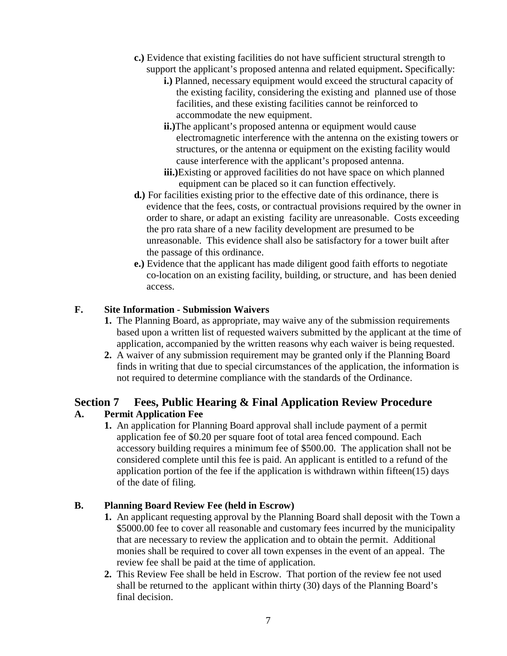- **c.)** Evidence that existing facilities do not have sufficient structural strength to support the applicant's proposed antenna and related equipment**.** Specifically:
	- **i.)** Planned, necessary equipment would exceed the structural capacity of the existing facility, considering the existing and planned use of those facilities, and these existing facilities cannot be reinforced to accommodate the new equipment.
	- **ii.)**The applicant's proposed antenna or equipment would cause electromagnetic interference with the antenna on the existing towers or structures, or the antenna or equipment on the existing facility would cause interference with the applicant's proposed antenna.
	- **iii.**)Existing or approved facilities do not have space on which planned equipment can be placed so it can function effectively.
- **d.)** For facilities existing prior to the effective date of this ordinance, there is evidence that the fees, costs, or contractual provisions required by the owner in order to share, or adapt an existing facility are unreasonable. Costs exceeding the pro rata share of a new facility development are presumed to be unreasonable. This evidence shall also be satisfactory for a tower built after the passage of this ordinance.
- **e.)** Evidence that the applicant has made diligent good faith efforts to negotiate co-location on an existing facility, building, or structure, and has been denied access.

## **F. Site Information - Submission Waivers**

- **1.** The Planning Board, as appropriate, may waive any of the submission requirements based upon a written list of requested waivers submitted by the applicant at the time of application, accompanied by the written reasons why each waiver is being requested.
- **2.** A waiver of any submission requirement may be granted only if the Planning Board finds in writing that due to special circumstances of the application, the information is not required to determine compliance with the standards of the Ordinance.

# **Section 7 Fees, Public Hearing & Final Application Review Procedure**

## **A. Permit Application Fee**

**1.** An application for Planning Board approval shall include payment of a permit application fee of \$0.20 per square foot of total area fenced compound. Each accessory building requires a minimum fee of \$500.00. The application shall not be considered complete until this fee is paid. An applicant is entitled to a refund of the application portion of the fee if the application is withdrawn within fifteen(15) days of the date of filing.

## **B. Planning Board Review Fee (held in Escrow)**

- **1.** An applicant requesting approval by the Planning Board shall deposit with the Town a \$5000.00 fee to cover all reasonable and customary fees incurred by the municipality that are necessary to review the application and to obtain the permit. Additional monies shall be required to cover all town expenses in the event of an appeal. The review fee shall be paid at the time of application.
- **2.** This Review Fee shall be held in Escrow. That portion of the review fee not used shall be returned to the applicant within thirty (30) days of the Planning Board's final decision.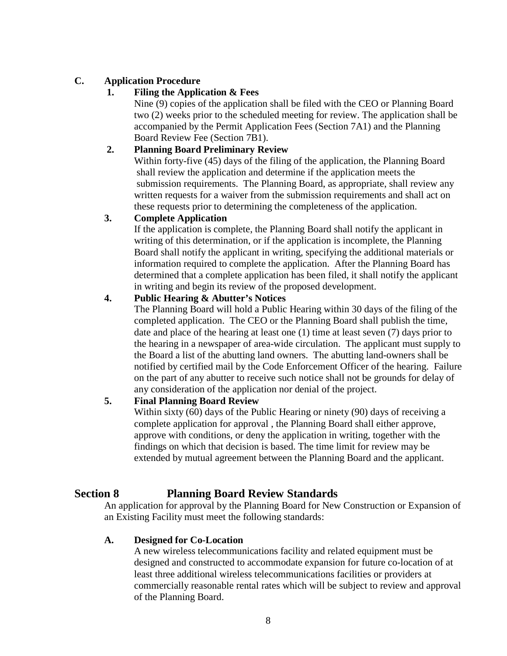## **C. Application Procedure**

## **1. Filing the Application & Fees**

Nine (9) copies of the application shall be filed with the CEO or Planning Board two (2) weeks prior to the scheduled meeting for review. The application shall be accompanied by the Permit Application Fees (Section 7A1) and the Planning Board Review Fee (Section 7B1).

## **2. Planning Board Preliminary Review**

Within forty-five (45) days of the filing of the application, the Planning Board shall review the application and determine if the application meets the submission requirements. The Planning Board, as appropriate, shall review any written requests for a waiver from the submission requirements and shall act on these requests prior to determining the completeness of the application.

#### **3. Complete Application**

If the application is complete, the Planning Board shall notify the applicant in writing of this determination, or if the application is incomplete, the Planning Board shall notify the applicant in writing, specifying the additional materials or information required to complete the application. After the Planning Board has determined that a complete application has been filed, it shall notify the applicant in writing and begin its review of the proposed development.

#### **4. Public Hearing & Abutter's Notices**

The Planning Board will hold a Public Hearing within 30 days of the filing of the completed application. The CEO or the Planning Board shall publish the time, date and place of the hearing at least one (1) time at least seven (7) days prior to the hearing in a newspaper of area-wide circulation. The applicant must supply to the Board a list of the abutting land owners. The abutting land-owners shall be notified by certified mail by the Code Enforcement Officer of the hearing. Failure on the part of any abutter to receive such notice shall not be grounds for delay of any consideration of the application nor denial of the project.

#### **5. Final Planning Board Review**

Within sixty (60) days of the Public Hearing or ninety (90) days of receiving a complete application for approval , the Planning Board shall either approve, approve with conditions, or deny the application in writing, together with the findings on which that decision is based. The time limit for review may be extended by mutual agreement between the Planning Board and the applicant.

# **Section 8 Planning Board Review Standards**

An application for approval by the Planning Board for New Construction or Expansion of an Existing Facility must meet the following standards:

#### **A. Designed for Co-Location**

A new wireless telecommunications facility and related equipment must be designed and constructed to accommodate expansion for future co-location of at least three additional wireless telecommunications facilities or providers at commercially reasonable rental rates which will be subject to review and approval of the Planning Board.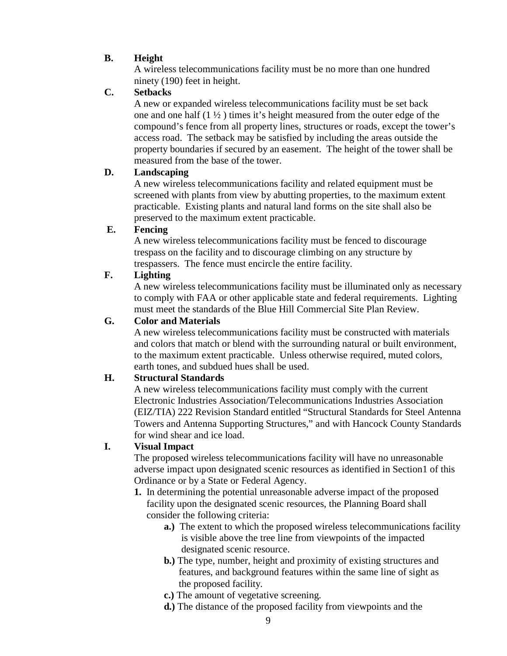## **B. Height**

A wireless telecommunications facility must be no more than one hundred ninety (190) feet in height.

## **C. Setbacks**

A new or expanded wireless telecommunications facility must be set back one and one half  $(1 \frac{1}{2})$  times it's height measured from the outer edge of the compound's fence from all property lines, structures or roads, except the tower's access road. The setback may be satisfied by including the areas outside the property boundaries if secured by an easement. The height of the tower shall be measured from the base of the tower.

## **D. Landscaping**

A new wireless telecommunications facility and related equipment must be screened with plants from view by abutting properties, to the maximum extent practicable. Existing plants and natural land forms on the site shall also be preserved to the maximum extent practicable.

## **E. Fencing**

A new wireless telecommunications facility must be fenced to discourage trespass on the facility and to discourage climbing on any structure by trespassers. The fence must encircle the entire facility.

## **F. Lighting**

A new wireless telecommunications facility must be illuminated only as necessary to comply with FAA or other applicable state and federal requirements. Lighting must meet the standards of the Blue Hill Commercial Site Plan Review.

## **G. Color and Materials**

A new wireless telecommunications facility must be constructed with materials and colors that match or blend with the surrounding natural or built environment, to the maximum extent practicable. Unless otherwise required, muted colors, earth tones, and subdued hues shall be used.

#### **H. Structural Standards**

A new wireless telecommunications facility must comply with the current Electronic Industries Association/Telecommunications Industries Association (EIZ/TIA) 222 Revision Standard entitled "Structural Standards for Steel Antenna Towers and Antenna Supporting Structures," and with Hancock County Standards for wind shear and ice load.

## **I. Visual Impact**

The proposed wireless telecommunications facility will have no unreasonable adverse impact upon designated scenic resources as identified in Section1 of this Ordinance or by a State or Federal Agency.

- **1.** In determining the potential unreasonable adverse impact of the proposed facility upon the designated scenic resources, the Planning Board shall consider the following criteria:
	- **a.)** The extent to which the proposed wireless telecommunications facility is visible above the tree line from viewpoints of the impacted designated scenic resource.
	- **b.)** The type, number, height and proximity of existing structures and features, and background features within the same line of sight as the proposed facility.
	- **c.)** The amount of vegetative screening.
	- **d.)** The distance of the proposed facility from viewpoints and the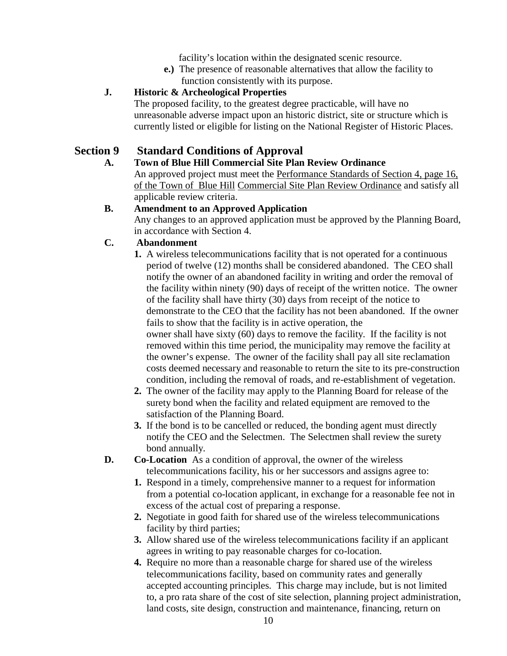facility's location within the designated scenic resource.

**e.)** The presence of reasonable alternatives that allow the facility to function consistently with its purpose.

## **J. Historic & Archeological Properties**

The proposed facility, to the greatest degree practicable, will have no unreasonable adverse impact upon an historic district, site or structure which is currently listed or eligible for listing on the National Register of Historic Places.

# **Section 9 Standard Conditions of Approval**

## **A. Town of Blue Hill Commercial Site Plan Review Ordinance**

An approved project must meet the Performance Standards of Section 4, page 16, of the Town of Blue Hill Commercial Site Plan Review Ordinance and satisfy all applicable review criteria.

## **B. Amendment to an Approved Application**

Any changes to an approved application must be approved by the Planning Board, in accordance with Section 4.

## **C. Abandonment**

**1.** A wireless telecommunications facility that is not operated for a continuous period of twelve (12) months shall be considered abandoned. The CEO shall notify the owner of an abandoned facility in writing and order the removal of the facility within ninety (90) days of receipt of the written notice. The owner of the facility shall have thirty (30) days from receipt of the notice to demonstrate to the CEO that the facility has not been abandoned. If the owner fails to show that the facility is in active operation, the owner shall have sixty (60) days to remove the facility. If the facility is not removed within this time period, the municipality may remove the facility at the owner's expense. The owner of the facility shall pay all site reclamation costs deemed necessary and reasonable to return the site to its pre-construction condition, including the removal of roads, and re-establishment of vegetation.

- **2.** The owner of the facility may apply to the Planning Board for release of the surety bond when the facility and related equipment are removed to the satisfaction of the Planning Board.
- **3.** If the bond is to be cancelled or reduced, the bonding agent must directly notify the CEO and the Selectmen. The Selectmen shall review the surety bond annually.
- **D. Co-Location** As a condition of approval, the owner of the wireless telecommunications facility, his or her successors and assigns agree to:
	- **1.** Respond in a timely, comprehensive manner to a request for information from a potential co-location applicant, in exchange for a reasonable fee not in excess of the actual cost of preparing a response.
	- **2.** Negotiate in good faith for shared use of the wireless telecommunications facility by third parties;
	- **3.** Allow shared use of the wireless telecommunications facility if an applicant agrees in writing to pay reasonable charges for co-location.
	- **4.** Require no more than a reasonable charge for shared use of the wireless telecommunications facility, based on community rates and generally accepted accounting principles. This charge may include, but is not limited to, a pro rata share of the cost of site selection, planning project administration, land costs, site design, construction and maintenance, financing, return on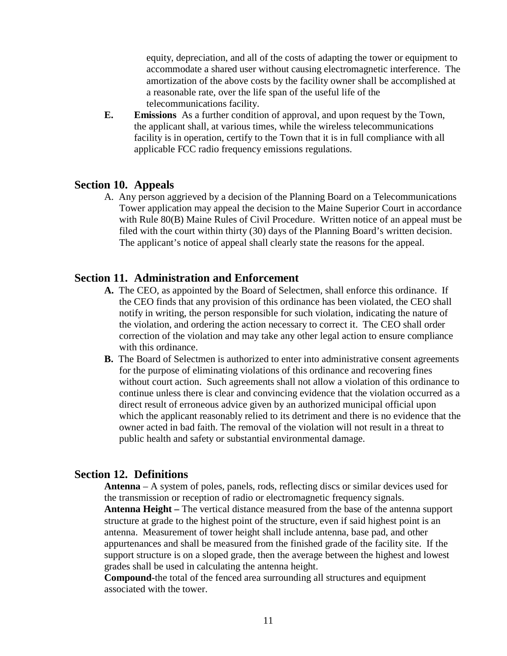equity, depreciation, and all of the costs of adapting the tower or equipment to accommodate a shared user without causing electromagnetic interference. The amortization of the above costs by the facility owner shall be accomplished at a reasonable rate, over the life span of the useful life of the telecommunications facility.

**E. Emissions** As a further condition of approval, and upon request by the Town, the applicant shall, at various times, while the wireless telecommunications facility is in operation, certify to the Town that it is in full compliance with all applicable FCC radio frequency emissions regulations.

#### **Section 10. Appeals**

A. Any person aggrieved by a decision of the Planning Board on a Telecommunications Tower application may appeal the decision to the Maine Superior Court in accordance with Rule 80(B) Maine Rules of Civil Procedure. Written notice of an appeal must be filed with the court within thirty (30) days of the Planning Board's written decision. The applicant's notice of appeal shall clearly state the reasons for the appeal.

#### **Section 11. Administration and Enforcement**

- **A.** The CEO, as appointed by the Board of Selectmen, shall enforce this ordinance. If the CEO finds that any provision of this ordinance has been violated, the CEO shall notify in writing, the person responsible for such violation, indicating the nature of the violation, and ordering the action necessary to correct it. The CEO shall order correction of the violation and may take any other legal action to ensure compliance with this ordinance.
- **B.** The Board of Selectmen is authorized to enter into administrative consent agreements for the purpose of eliminating violations of this ordinance and recovering fines without court action. Such agreements shall not allow a violation of this ordinance to continue unless there is clear and convincing evidence that the violation occurred as a direct result of erroneous advice given by an authorized municipal official upon which the applicant reasonably relied to its detriment and there is no evidence that the owner acted in bad faith. The removal of the violation will not result in a threat to public health and safety or substantial environmental damage.

#### **Section 12. Definitions**

**Antenna** – A system of poles, panels, rods, reflecting discs or similar devices used for the transmission or reception of radio or electromagnetic frequency signals. **Antenna Height –** The vertical distance measured from the base of the antenna support structure at grade to the highest point of the structure, even if said highest point is an antenna. Measurement of tower height shall include antenna, base pad, and other appurtenances and shall be measured from the finished grade of the facility site. If the support structure is on a sloped grade, then the average between the highest and lowest grades shall be used in calculating the antenna height.

**Compound-**the total of the fenced area surrounding all structures and equipment associated with the tower.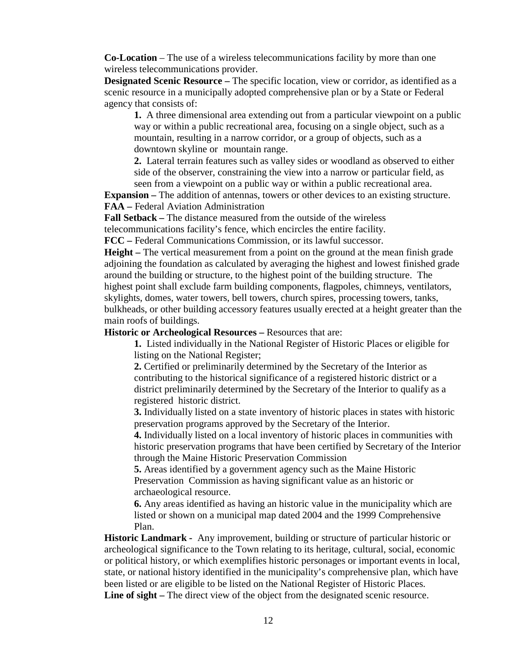**Co-Location** – The use of a wireless telecommunications facility by more than one wireless telecommunications provider.

**Designated Scenic Resource –** The specific location, view or corridor, as identified as a scenic resource in a municipally adopted comprehensive plan or by a State or Federal agency that consists of:

**1.** A three dimensional area extending out from a particular viewpoint on a public way or within a public recreational area, focusing on a single object, such as a mountain, resulting in a narrow corridor, or a group of objects, such as a downtown skyline or mountain range.

**2.** Lateral terrain features such as valley sides or woodland as observed to either side of the observer, constraining the view into a narrow or particular field, as seen from a viewpoint on a public way or within a public recreational area.

**Expansion** – The addition of antennas, towers or other devices to an existing structure. **FAA –** Federal Aviation Administration

**Fall Setback –** The distance measured from the outside of the wireless

telecommunications facility's fence, which encircles the entire facility.

**FCC –** Federal Communications Commission, or its lawful successor.

**Height –** The vertical measurement from a point on the ground at the mean finish grade adjoining the foundation as calculated by averaging the highest and lowest finished grade around the building or structure, to the highest point of the building structure. The highest point shall exclude farm building components, flagpoles, chimneys, ventilators, skylights, domes, water towers, bell towers, church spires, processing towers, tanks, bulkheads, or other building accessory features usually erected at a height greater than the main roofs of buildings.

**Historic or Archeological Resources –** Resources that are:

**1.** Listed individually in the National Register of Historic Places or eligible for listing on the National Register;

**2.** Certified or preliminarily determined by the Secretary of the Interior as contributing to the historical significance of a registered historic district or a district preliminarily determined by the Secretary of the Interior to qualify as a registered historic district.

**3.** Individually listed on a state inventory of historic places in states with historic preservation programs approved by the Secretary of the Interior.

**4.** Individually listed on a local inventory of historic places in communities with historic preservation programs that have been certified by Secretary of the Interior through the Maine Historic Preservation Commission

**5.** Areas identified by a government agency such as the Maine Historic Preservation Commission as having significant value as an historic or archaeological resource.

**6.** Any areas identified as having an historic value in the municipality which are listed or shown on a municipal map dated 2004 and the 1999 Comprehensive Plan.

**Historic Landmark -** Any improvement, building or structure of particular historic or archeological significance to the Town relating to its heritage, cultural, social, economic or political history, or which exemplifies historic personages or important events in local, state, or national history identified in the municipality's comprehensive plan, which have been listed or are eligible to be listed on the National Register of Historic Places. Line of sight – The direct view of the object from the designated scenic resource.